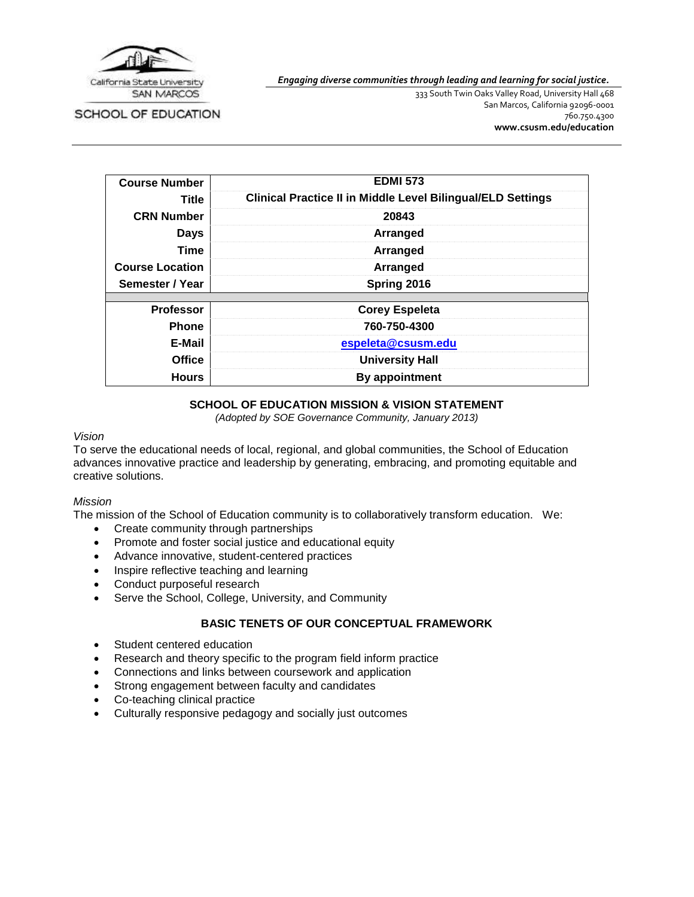

SCHOOL OF EDUCATION

*Engaging diverse communities through leading and learning for social justice.*

333 South Twin Oaks Valley Road, University Hall 468 San Marcos, California 92096-0001 760.750.4300 **[www.csusm.edu/education](http://www.csusm.edu/education)**

| <b>Course Number</b>   | <b>EDMI 573</b>                                                    |
|------------------------|--------------------------------------------------------------------|
| Title                  | <b>Clinical Practice II in Middle Level Bilingual/ELD Settings</b> |
| <b>CRN Number</b>      | 20843                                                              |
| <b>Days</b>            | Arranged                                                           |
| <b>Time</b>            | Arranged                                                           |
| <b>Course Location</b> | Arranged                                                           |
| Semester / Year        | Spring 2016                                                        |
|                        |                                                                    |
| <b>Professor</b>       | <b>Corey Espeleta</b>                                              |
| <b>Phone</b>           | 760-750-4300                                                       |
| E-Mail                 | espeleta@csusm.edu                                                 |
| <b>Office</b>          | <b>University Hall</b>                                             |
| <b>Hours</b>           | By appointment                                                     |

# **SCHOOL OF EDUCATION MISSION & VISION STATEMENT**

*(Adopted by SOE Governance Community, January 2013)*

#### *Vision*

To serve the educational needs of local, regional, and global communities, the School of Education advances innovative practice and leadership by generating, embracing, and promoting equitable and creative solutions.

#### *Mission*

The mission of the School of Education community is to collaboratively transform education. We:

- Create community through partnerships
- Promote and foster social justice and educational equity
- Advance innovative, student-centered practices
- Inspire reflective teaching and learning
- Conduct purposeful research
- Serve the School, College, University, and Community

# **BASIC TENETS OF OUR CONCEPTUAL FRAMEWORK**

- Student centered education
- Research and theory specific to the program field inform practice
- Connections and links between coursework and application
- Strong engagement between faculty and candidates
- Co-teaching clinical practice
- Culturally responsive pedagogy and socially just outcomes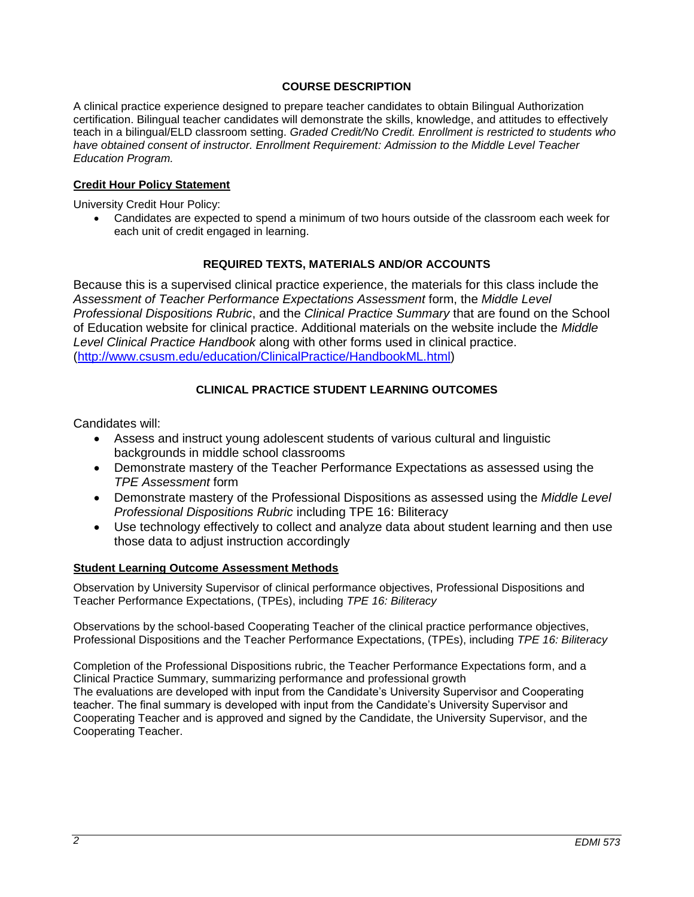## **COURSE DESCRIPTION**

A clinical practice experience designed to prepare teacher candidates to obtain Bilingual Authorization certification. Bilingual teacher candidates will demonstrate the skills, knowledge, and attitudes to effectively teach in a bilingual/ELD classroom setting. *Graded Credit/No Credit. Enrollment is restricted to students who*  have obtained consent of instructor. Enrollment Requirement: Admission to the Middle Level Teacher *Education Program.*

### **Credit Hour Policy Statement**

University Credit Hour Policy:

 Candidates are expected to spend a minimum of two hours outside of the classroom each week for each unit of credit engaged in learning.

### **REQUIRED TEXTS, MATERIALS AND/OR ACCOUNTS**

Because this is a supervised clinical practice experience, the materials for this class include the *Assessment of Teacher Performance Expectations Assessment* form, the *Middle Level Professional Dispositions Rubric*, and the *Clinical Practice Summary* that are found on the School of Education website for clinical practice. Additional materials on the website include the *Middle Level Clinical Practice Handbook* along with other forms used in clinical practice. [\(http://www.csusm.edu/education/ClinicalPractice/HandbookML.html\)](http://www.csusm.edu/education/ClinicalPractice/HandbookML.html)

# **CLINICAL PRACTICE STUDENT LEARNING OUTCOMES**

Candidates will:

- Assess and instruct young adolescent students of various cultural and linguistic backgrounds in middle school classrooms
- Demonstrate mastery of the Teacher Performance Expectations as assessed using the *TPE Assessment* form
- Demonstrate mastery of the Professional Dispositions as assessed using the *Middle Level Professional Dispositions Rubric* including TPE 16: Biliteracy
- Use technology effectively to collect and analyze data about student learning and then use those data to adjust instruction accordingly

#### **Student Learning Outcome Assessment Methods**

Observation by University Supervisor of clinical performance objectives, Professional Dispositions and Teacher Performance Expectations, (TPEs), including *TPE 16: Biliteracy*

Observations by the school-based Cooperating Teacher of the clinical practice performance objectives, Professional Dispositions and the Teacher Performance Expectations, (TPEs), including *TPE 16: Biliteracy*

Completion of the Professional Dispositions rubric, the Teacher Performance Expectations form, and a Clinical Practice Summary, summarizing performance and professional growth The evaluations are developed with input from the Candidate's University Supervisor and Cooperating teacher. The final summary is developed with input from the Candidate's University Supervisor and Cooperating Teacher and is approved and signed by the Candidate, the University Supervisor, and the Cooperating Teacher.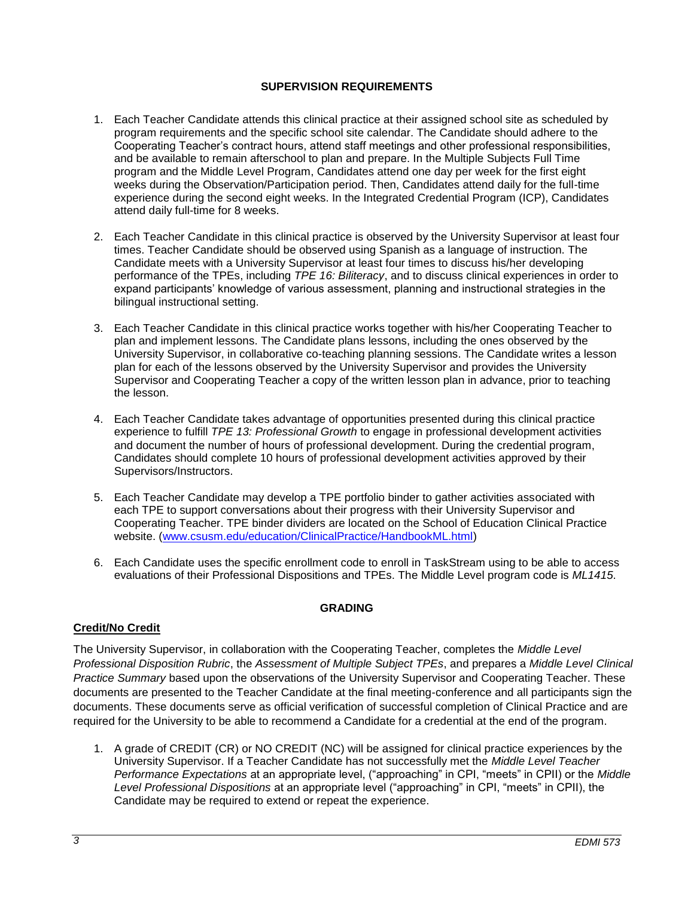# **SUPERVISION REQUIREMENTS**

- 1. Each Teacher Candidate attends this clinical practice at their assigned school site as scheduled by program requirements and the specific school site calendar. The Candidate should adhere to the Cooperating Teacher's contract hours, attend staff meetings and other professional responsibilities, and be available to remain afterschool to plan and prepare. In the Multiple Subjects Full Time program and the Middle Level Program, Candidates attend one day per week for the first eight weeks during the Observation/Participation period. Then, Candidates attend daily for the full-time experience during the second eight weeks. In the Integrated Credential Program (ICP), Candidates attend daily full-time for 8 weeks.
- 2. Each Teacher Candidate in this clinical practice is observed by the University Supervisor at least four times. Teacher Candidate should be observed using Spanish as a language of instruction. The Candidate meets with a University Supervisor at least four times to discuss his/her developing performance of the TPEs, including *TPE 16: Biliteracy*, and to discuss clinical experiences in order to expand participants' knowledge of various assessment, planning and instructional strategies in the bilingual instructional setting.
- 3. Each Teacher Candidate in this clinical practice works together with his/her Cooperating Teacher to plan and implement lessons. The Candidate plans lessons, including the ones observed by the University Supervisor, in collaborative co-teaching planning sessions. The Candidate writes a lesson plan for each of the lessons observed by the University Supervisor and provides the University Supervisor and Cooperating Teacher a copy of the written lesson plan in advance, prior to teaching the lesson.
- 4. Each Teacher Candidate takes advantage of opportunities presented during this clinical practice experience to fulfill *TPE 13: Professional Growth* to engage in professional development activities and document the number of hours of professional development. During the credential program, Candidates should complete 10 hours of professional development activities approved by their Supervisors/Instructors.
- 5. Each Teacher Candidate may develop a TPE portfolio binder to gather activities associated with each TPE to support conversations about their progress with their University Supervisor and Cooperating Teacher. TPE binder dividers are located on the School of Education Clinical Practice website. [\(www.csusm.edu/education/ClinicalPractice/HandbookML.html\)](http://www.csusm.edu/education/ClinicalPractice/HandbookML.html)
- 6. Each Candidate uses the specific enrollment code to enroll in TaskStream using to be able to access evaluations of their Professional Dispositions and TPEs. The Middle Level program code is *ML1415*.

# **GRADING**

# **Credit/No Credit**

The University Supervisor, in collaboration with the Cooperating Teacher, completes the *Middle Level Professional Disposition Rubric*, the *Assessment of Multiple Subject TPEs*, and prepares a *Middle Level Clinical Practice Summary* based upon the observations of the University Supervisor and Cooperating Teacher. These documents are presented to the Teacher Candidate at the final meeting-conference and all participants sign the documents. These documents serve as official verification of successful completion of Clinical Practice and are required for the University to be able to recommend a Candidate for a credential at the end of the program.

1. A grade of CREDIT (CR) or NO CREDIT (NC) will be assigned for clinical practice experiences by the University Supervisor. If a Teacher Candidate has not successfully met the *Middle Level Teacher Performance Expectations* at an appropriate level, ("approaching" in CPI, "meets" in CPII) or the *Middle Level Professional Dispositions* at an appropriate level ("approaching" in CPI, "meets" in CPII), the Candidate may be required to extend or repeat the experience.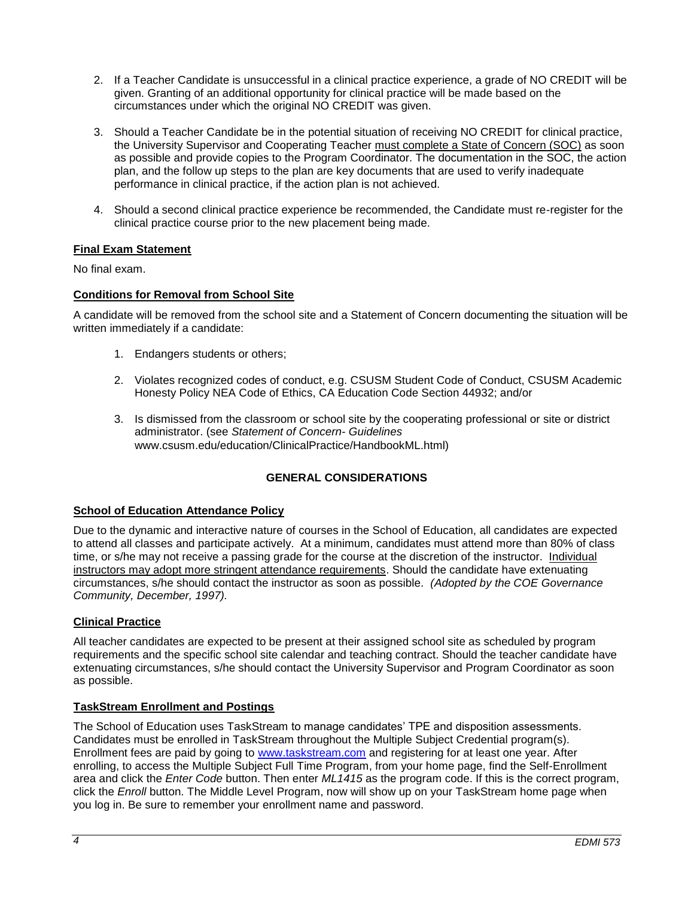- 2. If a Teacher Candidate is unsuccessful in a clinical practice experience, a grade of NO CREDIT will be given. Granting of an additional opportunity for clinical practice will be made based on the circumstances under which the original NO CREDIT was given.
- 3. Should a Teacher Candidate be in the potential situation of receiving NO CREDIT for clinical practice, the University Supervisor and Cooperating Teacher must complete a State of Concern (SOC) as soon as possible and provide copies to the Program Coordinator. The documentation in the SOC, the action plan, and the follow up steps to the plan are key documents that are used to verify inadequate performance in clinical practice, if the action plan is not achieved.
- 4. Should a second clinical practice experience be recommended, the Candidate must re-register for the clinical practice course prior to the new placement being made.

# **Final Exam Statement**

No final exam.

#### **Conditions for Removal from School Site**

A candidate will be removed from the school site and a Statement of Concern documenting the situation will be written immediately if a candidate:

- 1. Endangers students or others;
- 2. Violates recognized codes of conduct, e.g. CSUSM Student Code of Conduct, CSUSM Academic Honesty Policy NEA Code of Ethics, CA Education Code Section 44932; and/or
- 3. Is dismissed from the classroom or school site by the cooperating professional or site or district administrator. (see *Statement of Concern- Guidelines* www.csusm.edu/education/ClinicalPractice/HandbookML.html)

# **GENERAL CONSIDERATIONS**

#### **School of Education Attendance Policy**

Due to the dynamic and interactive nature of courses in the School of Education, all candidates are expected to attend all classes and participate actively. At a minimum, candidates must attend more than 80% of class time, or s/he may not receive a passing grade for the course at the discretion of the instructor. Individual instructors may adopt more stringent attendance requirements. Should the candidate have extenuating circumstances, s/he should contact the instructor as soon as possible. *(Adopted by the COE Governance Community, December, 1997).*

#### **Clinical Practice**

All teacher candidates are expected to be present at their assigned school site as scheduled by program requirements and the specific school site calendar and teaching contract. Should the teacher candidate have extenuating circumstances, s/he should contact the University Supervisor and Program Coordinator as soon as possible.

#### **TaskStream Enrollment and Postings**

The School of Education uses TaskStream to manage candidates' TPE and disposition assessments. Candidates must be enrolled in TaskStream throughout the Multiple Subject Credential program(s). Enrollment fees are paid by going to [www.taskstream.com](http://www.taskstrem.com/) and registering for at least one year. After enrolling, to access the Multiple Subject Full Time Program, from your home page, find the Self-Enrollment area and click the *Enter Code* button. Then enter *ML1415* as the program code. If this is the correct program, click the *Enroll* button. The Middle Level Program, now will show up on your TaskStream home page when you log in. Be sure to remember your enrollment name and password.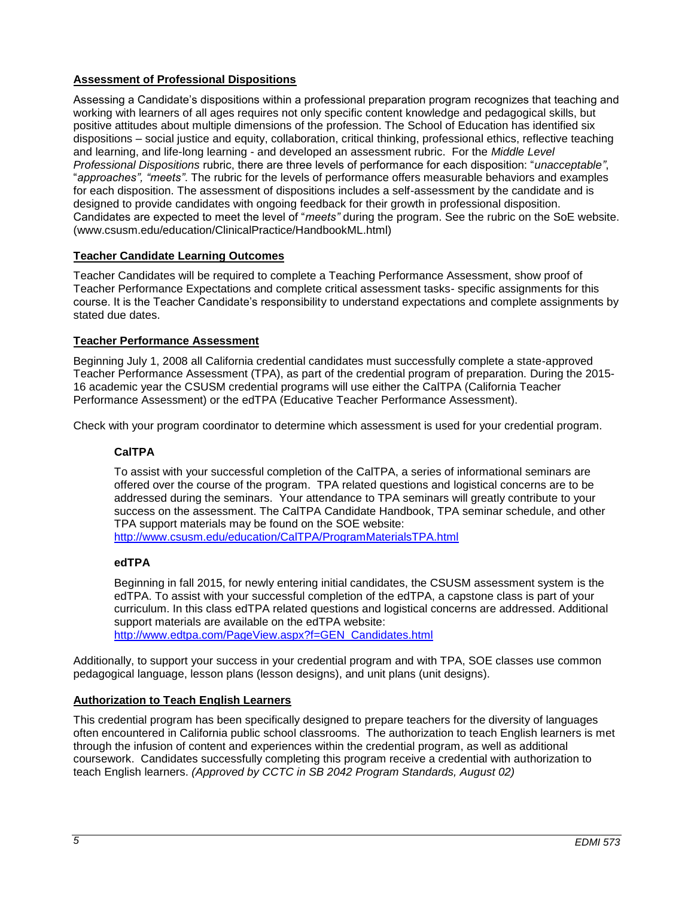# **Assessment of Professional Dispositions**

Assessing a Candidate's dispositions within a professional preparation program recognizes that teaching and working with learners of all ages requires not only specific content knowledge and pedagogical skills, but positive attitudes about multiple dimensions of the profession. The School of Education has identified six dispositions – social justice and equity, collaboration, critical thinking, professional ethics, reflective teaching and learning, and life-long learning - and developed an assessment rubric. For the *Middle Level Professional Dispositions* rubric, there are three levels of performance for each disposition: "*unacceptable"*, "*approaches", "meets"*. The rubric for the levels of performance offers measurable behaviors and examples for each disposition. The assessment of dispositions includes a self-assessment by the candidate and is designed to provide candidates with ongoing feedback for their growth in professional disposition. Candidates are expected to meet the level of "*meets"* during the program. See the rubric on the SoE website. (www.csusm.edu/education/ClinicalPractice/HandbookML.html)

# **Teacher Candidate Learning Outcomes**

Teacher Candidates will be required to complete a Teaching Performance Assessment, show proof of Teacher Performance Expectations and complete critical assessment tasks- specific assignments for this course. It is the Teacher Candidate's responsibility to understand expectations and complete assignments by stated due dates.

# **Teacher Performance Assessment**

Beginning July 1, 2008 all California credential candidates must successfully complete a state-approved Teacher Performance Assessment (TPA), as part of the credential program of preparation. During the 2015- 16 academic year the CSUSM credential programs will use either the CalTPA (California Teacher Performance Assessment) or the edTPA (Educative Teacher Performance Assessment).

Check with your program coordinator to determine which assessment is used for your credential program.

# **CalTPA**

To assist with your successful completion of the CalTPA, a series of informational seminars are offered over the course of the program. TPA related questions and logistical concerns are to be addressed during the seminars. Your attendance to TPA seminars will greatly contribute to your success on the assessment. The CalTPA Candidate Handbook, TPA seminar schedule, and other TPA support materials may be found on the SOE website: <http://www.csusm.edu/education/CalTPA/ProgramMaterialsTPA.html>

#### **edTPA**

Beginning in fall 2015, for newly entering initial candidates, the CSUSM assessment system is the edTPA. To assist with your successful completion of the edTPA, a capstone class is part of your curriculum. In this class edTPA related questions and logistical concerns are addressed. Additional support materials are available on the edTPA website: [http://www.edtpa.com/PageView.aspx?f=GEN\\_Candidates.html](http://www.edtpa.com/PageView.aspx?f=GEN_Candidates.html)

Additionally, to support your success in your credential program and with TPA, SOE classes use common

# pedagogical language, lesson plans (lesson designs), and unit plans (unit designs).

# **Authorization to Teach English Learners**

This credential program has been specifically designed to prepare teachers for the diversity of languages often encountered in California public school classrooms. The authorization to teach English learners is met through the infusion of content and experiences within the credential program, as well as additional coursework. Candidates successfully completing this program receive a credential with authorization to teach English learners. *(Approved by CCTC in SB 2042 Program Standards, August 02)*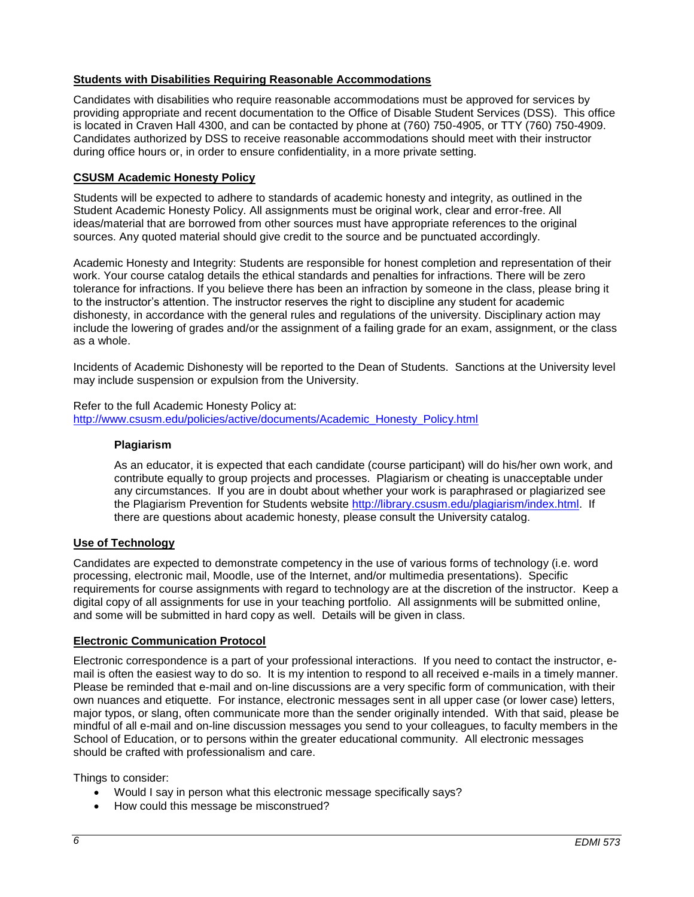### **Students with Disabilities Requiring Reasonable Accommodations**

Candidates with disabilities who require reasonable accommodations must be approved for services by providing appropriate and recent documentation to the Office of Disable Student Services (DSS). This office is located in Craven Hall 4300, and can be contacted by phone at (760) 750-4905, or TTY (760) 750-4909. Candidates authorized by DSS to receive reasonable accommodations should meet with their instructor during office hours or, in order to ensure confidentiality, in a more private setting.

### **CSUSM Academic Honesty Policy**

Students will be expected to adhere to standards of academic honesty and integrity, as outlined in the Student Academic Honesty Policy. All assignments must be original work, clear and error-free. All ideas/material that are borrowed from other sources must have appropriate references to the original sources. Any quoted material should give credit to the source and be punctuated accordingly.

Academic Honesty and Integrity: Students are responsible for honest completion and representation of their work. Your course catalog details the ethical standards and penalties for infractions. There will be zero tolerance for infractions. If you believe there has been an infraction by someone in the class, please bring it to the instructor's attention. The instructor reserves the right to discipline any student for academic dishonesty, in accordance with the general rules and regulations of the university. Disciplinary action may include the lowering of grades and/or the assignment of a failing grade for an exam, assignment, or the class as a whole.

Incidents of Academic Dishonesty will be reported to the Dean of Students. Sanctions at the University level may include suspension or expulsion from the University.

Refer to the full Academic Honesty Policy at: [http://www.csusm.edu/policies/active/documents/Academic\\_Honesty\\_Policy.html](http://www.csusm.edu/policies/active/documents/Academic_Honesty_Policy.html)

#### **Plagiarism**

As an educator, it is expected that each candidate (course participant) will do his/her own work, and contribute equally to group projects and processes. Plagiarism or cheating is unacceptable under any circumstances. If you are in doubt about whether your work is paraphrased or plagiarized see the Plagiarism Prevention for Students website [http://library.csusm.edu/plagiarism/index.html.](http://library.csusm.edu/plagiarism/index.html) If there are questions about academic honesty, please consult the University catalog.

#### **Use of Technology**

Candidates are expected to demonstrate competency in the use of various forms of technology (i.e. word processing, electronic mail, Moodle, use of the Internet, and/or multimedia presentations). Specific requirements for course assignments with regard to technology are at the discretion of the instructor. Keep a digital copy of all assignments for use in your teaching portfolio. All assignments will be submitted online, and some will be submitted in hard copy as well. Details will be given in class.

#### **Electronic Communication Protocol**

Electronic correspondence is a part of your professional interactions. If you need to contact the instructor, email is often the easiest way to do so. It is my intention to respond to all received e-mails in a timely manner. Please be reminded that e-mail and on-line discussions are a very specific form of communication, with their own nuances and etiquette. For instance, electronic messages sent in all upper case (or lower case) letters, major typos, or slang, often communicate more than the sender originally intended. With that said, please be mindful of all e-mail and on-line discussion messages you send to your colleagues, to faculty members in the School of Education, or to persons within the greater educational community. All electronic messages should be crafted with professionalism and care.

Things to consider:

- Would I say in person what this electronic message specifically says?
- How could this message be misconstrued?